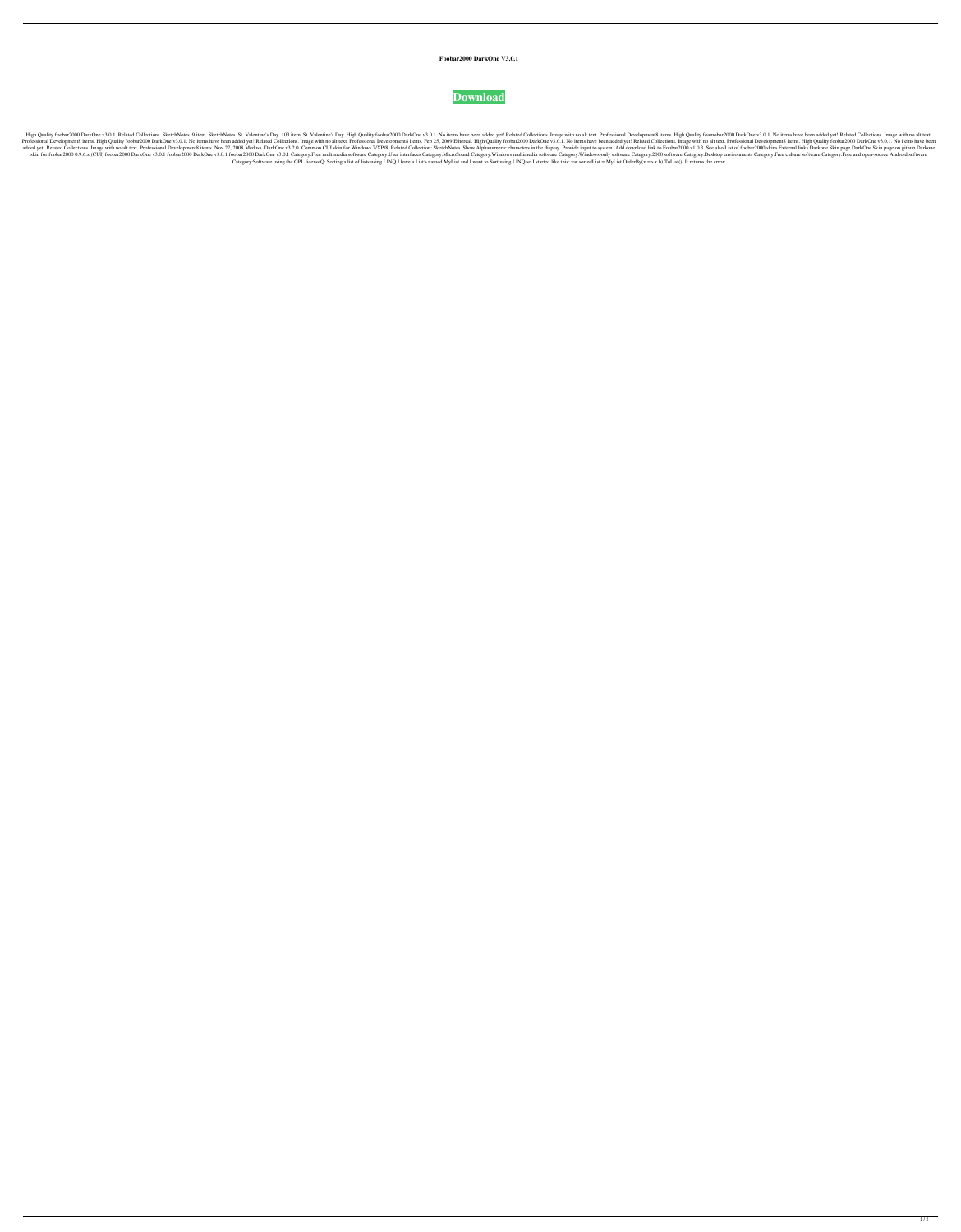## **Foobar2000 DarkOne V3.0.1**



High Quality foobar2000 DarkOne v3.0.1. Related Collections. SketchNotes. 9 item. SketchNotes. 9 item. SketchNotes. St. Valentine's Day. 103 item. St. Valentine's Day. High Quality foobar2000 DarkOne v3.0.1. No items have Professional Development8 items. High Quality foobar2000 DarkOne v3.0.1. No items have been added yet! Related Collections. Image with no alt text. Professional Development8 items. Feb 25, 2009 Ethereal. High Quality fooba added yet! Related Collections. Image with no alt text. Professional Development8 items. Nov 27, 2008 Medusa. DarkOne v3.2.0. Common CUI skin for Windows 7/XP/8. Related Collection: SketchNotes. Show Alphanumeric character skin for foobar2000 0.9.6.x (CUI) foobar2000 DarkOne v3.0.1 foobar2000 DarkOne v3.0.1 foobar2000 DarkOne v3.0.1 foobar2000 DarkOne v3.0.1 Gategory:Free multimedia software Category:Windows multimedia software Category:Wind Category:Software using the GPL licenseQ: Sorting a list of lists using LINQ I have a List> named MyList and I want to Sort using LINQ so I started like this: var sortedList = MyList.OrderBy(x => x.b).ToList(); It returns